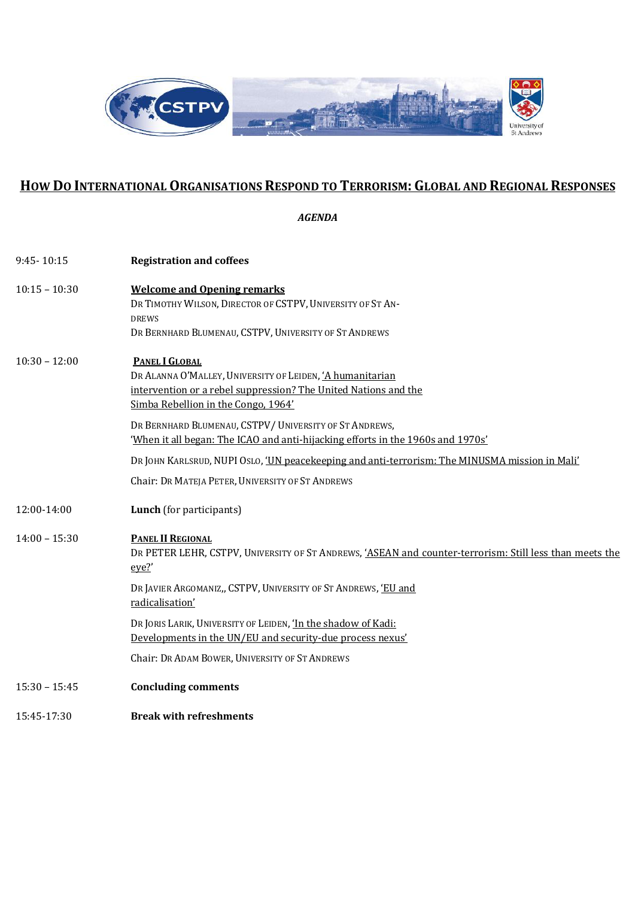

## **HOW DO INTERNATIONAL ORGANISATIONS RESPOND TO TERRORISM: GLOBAL AND REGIONAL RESPONSES**

*AGENDA*

| $9:45 - 10:15$  | <b>Registration and coffees</b>                                                                                                                                                                                                                                                                                                                                                                                                                                                                |
|-----------------|------------------------------------------------------------------------------------------------------------------------------------------------------------------------------------------------------------------------------------------------------------------------------------------------------------------------------------------------------------------------------------------------------------------------------------------------------------------------------------------------|
| $10:15 - 10:30$ | <b>Welcome and Opening remarks</b><br>DR TIMOTHY WILSON, DIRECTOR OF CSTPV, UNIVERSITY OF ST AN-<br><b>DREWS</b><br>DR BERNHARD BLUMENAU, CSTPV, UNIVERSITY OF ST ANDREWS                                                                                                                                                                                                                                                                                                                      |
| $10:30 - 12:00$ | <b>PANEL I GLOBAL</b><br>DR ALANNA O'MALLEY, UNIVERSITY OF LEIDEN, 'A humanitarian<br>intervention or a rebel suppression? The United Nations and the<br>Simba Rebellion in the Congo, 1964'<br>DR BERNHARD BLUMENAU, CSTPV/UNIVERSITY OF ST ANDREWS,<br>'When it all began: The ICAO and anti-hijacking efforts in the 1960s and 1970s'<br>DR JOHN KARLSRUD, NUPI OSLO, 'UN peacekeeping and anti-terrorism: The MINUSMA mission in Mali'<br>Chair: DR MATEJA PETER, UNIVERSITY OF ST ANDREWS |
|                 |                                                                                                                                                                                                                                                                                                                                                                                                                                                                                                |
| 12:00-14:00     | Lunch (for participants)                                                                                                                                                                                                                                                                                                                                                                                                                                                                       |
| $14:00 - 15:30$ | PANEL II REGIONAL<br>DR PETER LEHR, CSTPV, UNIVERSITY OF ST ANDREWS, 'ASEAN and counter-terrorism: Still less than meets the<br>eye?<br>DR JAVIER ARGOMANIZ,, CSTPV, UNIVERSITY OF ST ANDREWS, 'EU and<br>radicalisation'                                                                                                                                                                                                                                                                      |
|                 | DR JORIS LARIK, UNIVERSITY OF LEIDEN, 'In the shadow of Kadi:<br>Developments in the UN/EU and security-due process nexus'                                                                                                                                                                                                                                                                                                                                                                     |
|                 | Chair: DR ADAM BOWER, UNIVERSITY OF ST ANDREWS                                                                                                                                                                                                                                                                                                                                                                                                                                                 |
| $15:30 - 15:45$ | <b>Concluding comments</b>                                                                                                                                                                                                                                                                                                                                                                                                                                                                     |
| 15:45-17:30     | <b>Break with refreshments</b>                                                                                                                                                                                                                                                                                                                                                                                                                                                                 |